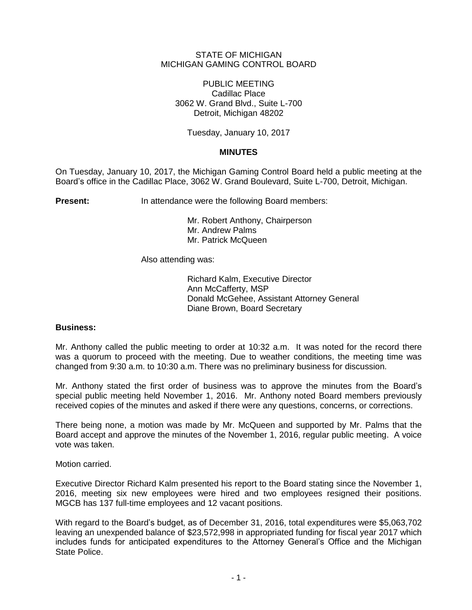## STATE OF MICHIGAN MICHIGAN GAMING CONTROL BOARD

PUBLIC MEETING Cadillac Place 3062 W. Grand Blvd., Suite L-700 Detroit, Michigan 48202

Tuesday, January 10, 2017

# **MINUTES**

On Tuesday, January 10, 2017, the Michigan Gaming Control Board held a public meeting at the Board's office in the Cadillac Place, 3062 W. Grand Boulevard, Suite L-700, Detroit, Michigan.

**Present:** In attendance were the following Board members:

Mr. Robert Anthony, Chairperson Mr. Andrew Palms Mr. Patrick McQueen

Also attending was:

Richard Kalm, Executive Director Ann McCafferty, MSP Donald McGehee, Assistant Attorney General Diane Brown, Board Secretary

## **Business:**

Mr. Anthony called the public meeting to order at 10:32 a.m. It was noted for the record there was a quorum to proceed with the meeting. Due to weather conditions, the meeting time was changed from 9:30 a.m. to 10:30 a.m. There was no preliminary business for discussion.

Mr. Anthony stated the first order of business was to approve the minutes from the Board's special public meeting held November 1, 2016. Mr. Anthony noted Board members previously received copies of the minutes and asked if there were any questions, concerns, or corrections.

There being none, a motion was made by Mr. McQueen and supported by Mr. Palms that the Board accept and approve the minutes of the November 1, 2016, regular public meeting. A voice vote was taken.

Motion carried.

Executive Director Richard Kalm presented his report to the Board stating since the November 1, 2016, meeting six new employees were hired and two employees resigned their positions. MGCB has 137 full-time employees and 12 vacant positions.

With regard to the Board's budget, as of December 31, 2016, total expenditures were \$5,063,702 leaving an unexpended balance of \$23,572,998 in appropriated funding for fiscal year 2017 which includes funds for anticipated expenditures to the Attorney General's Office and the Michigan State Police.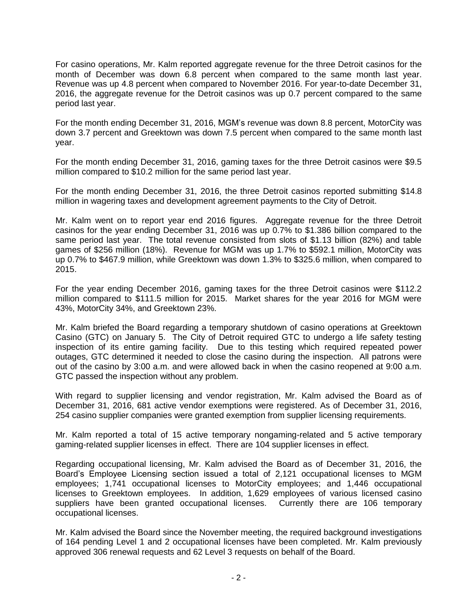For casino operations, Mr. Kalm reported aggregate revenue for the three Detroit casinos for the month of December was down 6.8 percent when compared to the same month last year. Revenue was up 4.8 percent when compared to November 2016. For year-to-date December 31, 2016, the aggregate revenue for the Detroit casinos was up 0.7 percent compared to the same period last year.

For the month ending December 31, 2016, MGM's revenue was down 8.8 percent, MotorCity was down 3.7 percent and Greektown was down 7.5 percent when compared to the same month last year.

For the month ending December 31, 2016, gaming taxes for the three Detroit casinos were \$9.5 million compared to \$10.2 million for the same period last year.

For the month ending December 31, 2016, the three Detroit casinos reported submitting \$14.8 million in wagering taxes and development agreement payments to the City of Detroit.

Mr. Kalm went on to report year end 2016 figures. Aggregate revenue for the three Detroit casinos for the year ending December 31, 2016 was up 0.7% to \$1.386 billion compared to the same period last year. The total revenue consisted from slots of \$1.13 billion (82%) and table games of \$256 million (18%). Revenue for MGM was up 1.7% to \$592.1 million, MotorCity was up 0.7% to \$467.9 million, while Greektown was down 1.3% to \$325.6 million, when compared to 2015.

For the year ending December 2016, gaming taxes for the three Detroit casinos were \$112.2 million compared to \$111.5 million for 2015. Market shares for the year 2016 for MGM were 43%, MotorCity 34%, and Greektown 23%.

Mr. Kalm briefed the Board regarding a temporary shutdown of casino operations at Greektown Casino (GTC) on January 5. The City of Detroit required GTC to undergo a life safety testing inspection of its entire gaming facility. Due to this testing which required repeated power outages, GTC determined it needed to close the casino during the inspection. All patrons were out of the casino by 3:00 a.m. and were allowed back in when the casino reopened at 9:00 a.m. GTC passed the inspection without any problem.

With regard to supplier licensing and vendor registration, Mr. Kalm advised the Board as of December 31, 2016, 681 active vendor exemptions were registered. As of December 31, 2016, 254 casino supplier companies were granted exemption from supplier licensing requirements.

Mr. Kalm reported a total of 15 active temporary nongaming-related and 5 active temporary gaming-related supplier licenses in effect. There are 104 supplier licenses in effect.

Regarding occupational licensing, Mr. Kalm advised the Board as of December 31, 2016, the Board's Employee Licensing section issued a total of 2,121 occupational licenses to MGM employees; 1,741 occupational licenses to MotorCity employees; and 1,446 occupational licenses to Greektown employees. In addition, 1,629 employees of various licensed casino suppliers have been granted occupational licenses. Currently there are 106 temporary occupational licenses.

Mr. Kalm advised the Board since the November meeting, the required background investigations of 164 pending Level 1 and 2 occupational licenses have been completed. Mr. Kalm previously approved 306 renewal requests and 62 Level 3 requests on behalf of the Board.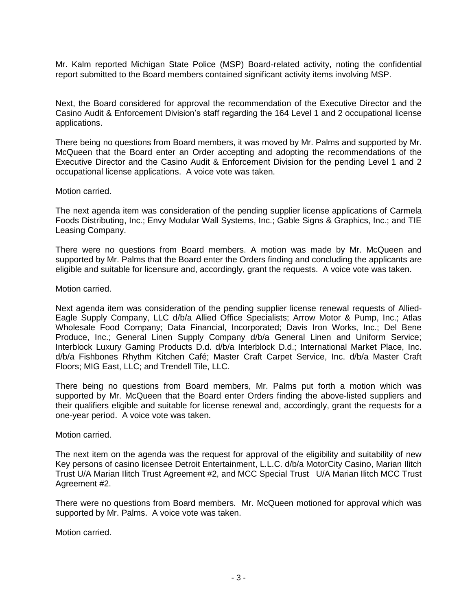Mr. Kalm reported Michigan State Police (MSP) Board-related activity, noting the confidential report submitted to the Board members contained significant activity items involving MSP.

Next, the Board considered for approval the recommendation of the Executive Director and the Casino Audit & Enforcement Division's staff regarding the 164 Level 1 and 2 occupational license applications.

There being no questions from Board members, it was moved by Mr. Palms and supported by Mr. McQueen that the Board enter an Order accepting and adopting the recommendations of the Executive Director and the Casino Audit & Enforcement Division for the pending Level 1 and 2 occupational license applications. A voice vote was taken.

#### Motion carried.

The next agenda item was consideration of the pending supplier license applications of Carmela Foods Distributing, Inc.; Envy Modular Wall Systems, Inc.; Gable Signs & Graphics, Inc.; and TIE Leasing Company.

There were no questions from Board members. A motion was made by Mr. McQueen and supported by Mr. Palms that the Board enter the Orders finding and concluding the applicants are eligible and suitable for licensure and, accordingly, grant the requests. A voice vote was taken.

#### Motion carried.

Next agenda item was consideration of the pending supplier license renewal requests of Allied-Eagle Supply Company, LLC d/b/a Allied Office Specialists; Arrow Motor & Pump, Inc.; Atlas Wholesale Food Company; Data Financial, Incorporated; Davis Iron Works, Inc.; Del Bene Produce, Inc.; General Linen Supply Company d/b/a General Linen and Uniform Service; Interblock Luxury Gaming Products D.d. d/b/a Interblock D.d.; International Market Place, Inc. d/b/a Fishbones Rhythm Kitchen Café; Master Craft Carpet Service, Inc. d/b/a Master Craft Floors; MIG East, LLC; and Trendell Tile, LLC.

There being no questions from Board members, Mr. Palms put forth a motion which was supported by Mr. McQueen that the Board enter Orders finding the above-listed suppliers and their qualifiers eligible and suitable for license renewal and, accordingly, grant the requests for a one-year period. A voice vote was taken.

## Motion carried.

The next item on the agenda was the request for approval of the eligibility and suitability of new Key persons of casino licensee Detroit Entertainment, L.L.C. d/b/a MotorCity Casino, Marian Ilitch Trust U/A Marian Ilitch Trust Agreement #2, and MCC Special Trust U/A Marian Ilitch MCC Trust Agreement #2.

There were no questions from Board members. Mr. McQueen motioned for approval which was supported by Mr. Palms. A voice vote was taken.

Motion carried.